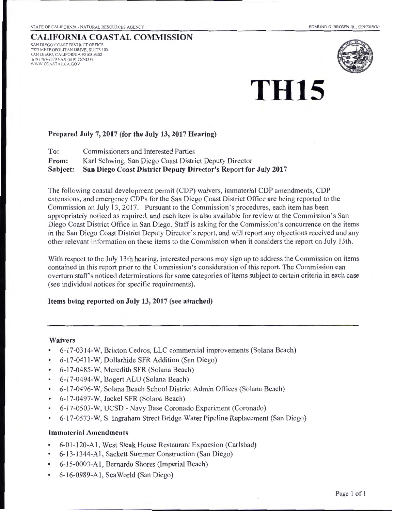# CALIFORNIA COASTAL COMMISSION SAN DIEGO COAST DISTRICT OFFICE

7575 METROPOLITAN DRIVE, SUITE 103 SAN DIEGO, CALIFORNIA 92108-4402 (6 19) 767-2370 FAX (6 19) 767-2384 WWW.COASTAL CA.GOV



# **TH15**

#### Prepared July 7, 2017 (for the July 13, 2017 Hearing)

To: Commissioners and Interested Parties From: Karl Schwing, San Diego Coast District Deputy Director Subject: San Diego Coast District Deputy Director's Report for July 2017

The following coastal development permit (COP) waivers, immaterial COP amendments, COP extensions, and emergency COPs for the San Diego Coast District Office are being reported to the Commission on July 13,2017. Pursuant to the Commission's procedures, each item has been appropriately noticed as required, and each item is also available for review at the Commission's San Diego Coast District Office in San Diego. Staff is asking for the Commission's concurrence on the items in the San Diego Coast District Deputy Director's report, and will report any objections received and any other relevant information on these items to the Commission when it considers the report on July 13th.

With respect to the July 13th hearing, interested persons may sign up to address the Commission on items contained in this report prior to the Commission's consideration of this report. The Commission can overturn staff's noticed determinations for some categories of items subject to certain criteria in each case (see individual notices for specific requirements).

#### Items being reported on July 13, 2017 (see attached)

#### Waivers

- 6-17-0314-W, Brixton Cedros, LLC commercial improvements (Solana Beach)
- 6-17-0411-W, Dollarhide SFR Addition (San Diego)
- 6-17-0485-W, Meredith SFR (Solana Beach)
- 6-17-0494-W, Bogert ALU (Solana Beach)
- 6-17-0496-W, Solana Beach School District Admin Offices (Solana Beach)
- 6-17-0497-W, Jackel SFR (Solana Beach)
- 6-17-0503-W, UCSD- Navy Base Coronado Experiment (Coronado)
- 6-17-0573-W, S. Ingraham Street Bridge Water Pipeline Replacement (San Diego)

#### Immaterial Amendments

- 6-0 1-120-A 1, West Steak House Restaurant Expansion (Carlsbad)
- 6-13-1344-A 1, Sackett Summer Construction (San Diego)
- 6-15-0003-A 1, Bernardo Shores (Imperial Beach)
- 6-16-0989-A1, Sea World (San Diego)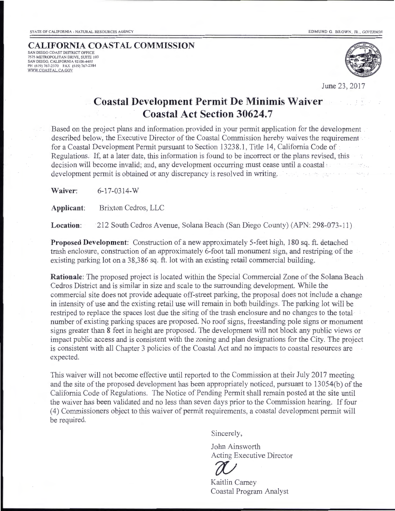#### **CALIFORNIA COASTAL COMMISSION** SAN DIEGO COAST DISTRICT OFFICE 7575 METROPOLITAN DRIVE, SUITE 103 SAN DIEGO, CALIFORNIA 92108-4402<br>PH (619) 767-2370 - FAX (619) 767-2384<br><u>WWW.COASTAL.CA.GOV</u>



June 23, 2017

## **Coastal Development Permit De Minimis Waiver Coastal Act Section 30624.7**

Based on the project plans and information provided in your permit application for the development described below, the Executive Director of the Coastal Commission hereby waives the requirement for a Coastal Development Permit pursuant to Section 13238\_1, Title 14, California Code of Regulations. If, at a later date, this information is found to be incorrect or the plans revised, this decision will become invalid; and, any development occurring must cease until a coastal : development permit is obtained or any discrepancy is resolved in writing. specific and the process.

**Waiver:** 6-17-0314-W

**Applicant:** Brixton Cedros, LLC

**Location:** 212 South Cedros Avenue, Solana Beach (San Diego County) (APN: 298-073-11)

**Proposed Development:** Construction of a new approximately 5-feet high, 180 sq. ft. detached trash enclosure, construction of an approximately 6-foot tall monument sign, and restriping of the existing parking lot on a 38,386 sq. ft. lot with an existing retail commercial building.

**Rationale:** The proposed project is located within the Special Commercial Zone of the Solana Beach Cedros District and is similar in size and scale to the surrounding development. While the commercial site does not provide adequate off-street parking, the proposal does not include a change in intensity of use and the existing retail use will remain in both buildings. The parking lot will be restriped to replace the spaces lost due the siting of the trash enclosure and no changes to the total number of existing parking spaces are proposed. No roof signs, freestanding pole signs or monument signs greater than 8 feet in height are proposed. The development will not block any public views or impact public access and is consistent with the zoning and plan designations for the City. The project is consistent with all Chapter 3 policies of the Coastal Act and no impacts to coastal resources are expected.

This waiver will not become effective until reported to the Commission at their July 2017 meeting and the site of the proposed development has been appropriately noticed, pursuant to 13054(b) of the California Code of Regulations. The Notice of Pending Permit shall remain posted at the site until the waiver has been validated and no less than seven days prior to the Commission hearing. If four ( 4) Conunissioners object to this waiver of permit requirements, a coastal development permit will be required.

Sincerely,

John Ainsworth Acting Executive Director



Coastal Program Analyst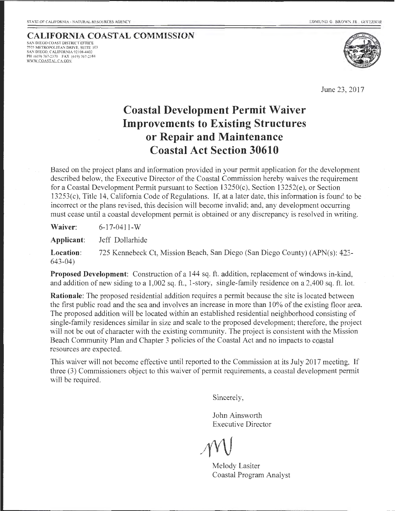#### **CALIFORNIA COASTAL COMMISSION** SAN DIEGO COAST DISTRICT OFFICE<br>7575 METROPOLITAN DRIVE, SUITE 103 SAN DIEGO, CALIFORNIA 92108-4402 PH (619) 767-2370 - FAX (619) 767-2384<br><u>WWW.COASTAL.CA.GOV</u>



June 23, 2017

# **Coastal Development Permit Waiver Improvements to Existing Structures or Repair and Maintenance Coastal Act Section 30610**

Based on the project plans and information provided in your permit application for the development described below, the Executive Director of the Coastal Commission hereby waives the requirement for a Coastal Development Permit pursuant to Section 13250(c), Section 13252(e), or Section 13253(c), Title 14, California Code of Regulations. If, at a later date, this information is found to be incorrect or the plans revised, this decision will become invalid; and, any development occurring must cease until a coastal development permit is obtained or any discrepancy is resolved in writing.

**Waiver:**  6-17-0411-W

**Applicant:**  Jeff Dollarhide

**Location:**  643-04) 725 Kennebeck Ct, Mission Beach, San Diego (San Diego County) (APN(s): 423-

**Proposed Development:** Construction of a 144 sq. ft. addition, replacement of windows in-kind, and addition of new siding to a 1,002 sq. ft. , 1-story, single-family residence on a 2,400 sq. ft. lot.

**Rationale:** The proposed residential addition requires a permit because the site is located between the first public road and the sea and involves an increase in more than 10% of the existing floor area. The proposed addition will be located within an established residential neighborhood consisting of single-family residences similar in size and scale to the proposed development; therefore, the project will not be out of character with the existing community. The project is consistent with the Mission Beach Community Plan and Chapter 3 policies of the Coastal Act and no impacts to coastal resources are expected.

This waiver will not become effective until reported to the Commission at its July 2017 meeting. If three (3) Commissioners object to this waiver of permit requirements, a coastal development permit will be required.

Sincerely,

John Ainsworth Executive Director

Melody Lasiter Coastal Program Analyst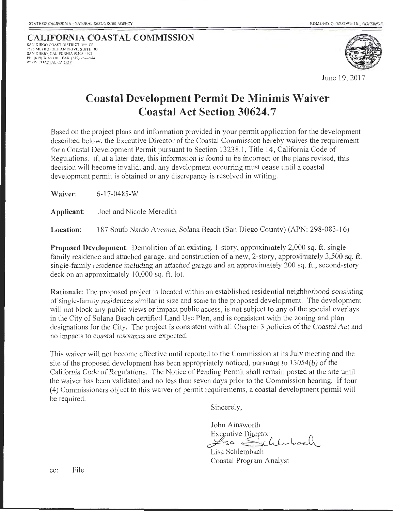#### **CALIFORNIA COASTAL COMMISSION** SAN DIEGO COAST DISTRICT OFFICE 7575 METROPOLITAN DRIVE, SUITE 103 SAN DIEGO, CALIFORNIA 92 108-4402 PH (6 19) 767-2370 FAX (6 19) 767-2384 **WW W.COASTAL.CA GOV**



June19,2017

# **Coastal Development Permit De Minimis Waiver Coastal Act Section 30624.7**

Based on the project plans and information provided in your permit application for the development described below, the Executive Director of the Coastal Commission hereby waives the requirement for a Coastal Development Permit pursuant to Section 13238.1, Title 14, California Code of Regulations. If, at a later date, this information is found to be incorrect or the plans revised, this decision will become invalid; and, any development occurring must cease until a coastal development permit is obtained or any discrepancy is resolved in writing.

**Waiver:** 6-17-0485-w

**Applicant:** Joel and Nicole Meredith

**Location:** 187 South Nardo Avenue, Solana Beach (San Diego County) (APN: 298-083-16)

**Proposed Development:** Demolition of an existing, 1-story, approximately 2,000 sq. ft. singlefamily residence and attached garage, and construction of a new, 2-story, approximately 3,500 sq. ft. single-family residence including an attached garage and an approximately 200 sq. ft., second-story deck on an approximately 10,000 sq. ft. lot.

**Rationale:** The proposed project is located within an established residential neighborhood consisting of single-family residences similar in size and scale to the proposed development. The development will not block any public views or impact public access, is not subject to any of the special overlays in the City of Solana Beach certified Land Use Plan, and is consistent with the zoning and plan designations for the City. The project is consistent with all Chapter 3 policies of the Coastal Act and no impacts to coastal resources are expected.

This waiver will not become effective until reported to the Commission at its July meeting and the site of the proposed development has been appropriately noticed, pursuant to 13054(b) of the California Code of Regulations. The Notice of Pending Permit shall remain posted at the site until the waiver has been validated and no less than seven days prior to the Commission hearing. If four  $(4)$  Commissioners object to this waiver of permit requirements, a coastal development permit will be required.

Sincerely,

John Ainsworth Executive Director Lisa Sichlubach

Lisa Schlembach Coastal Program Analyst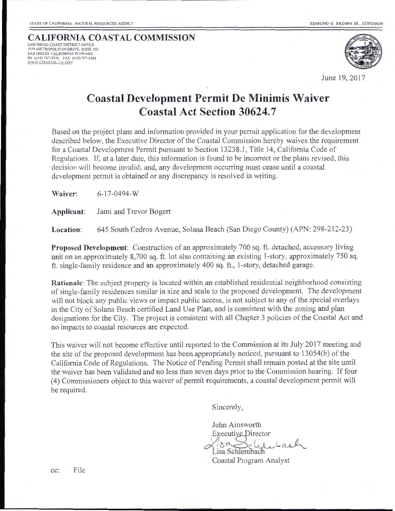#### **CALIFORNIA COASTAL COMMISSION** SAN DIEGO COAST DISTRICT OFFICE 7575 METROPOLITAN DRIVE, SUITE 103 SAN DIEGO, CALIFORNIA 92108-4402 PH (619) 767-2370 FAX (619) 767-2384<br><u>WWW.COASTAL.CA.GOV</u>



June 19, 2017

# **Coastal Development Permit De Minimis Waiver Coastal Act Section 30624.7**

Based on the project plans and information provided in your permit application for the development described below, the Executive Director of the Coastal Commission hereby waives the requirement for a Coastal Development Permit pursuant to Section 13238.1, Title 14, California Code of Regulations. If, at a later date, this information is found to be incorrect or the plans revised, this decision will become invalid; and, any development occurring must cease until a coastal development permit is obtained or any discrepancy is resolved in writing.

**Waiver:** 6-17-0494-w

**Applicant:** Jami and Trevor Bogert

**Location:** 645 South Cedros Avenue, Solana Beach (San Diego County) (APN: 298-212-23)

**Proposed Development:** Construction of an approximately 700 sq. ft. detached, accessory living unit on an approximately 8,700 sq. ft. lot also containing an existing 1-story, approximately 750 sq. ft. single-family residence and an approximately 400 sq. ft., 1-story, detached garage.

**Rationale:** The subject property is located within an established residential neighborhood consisting of single-family residences similar in size and scale to the proposed development. The development will not block any public views or impact public access, is not subject to any of the special overlays in the City of Solana Beach certified Land Use Plan, and is consistent with the zoning and plan designations for the City. The project is consistent with all Chapter 3 policies of the Coastal Act and no impacts to coastal resources are expected.

This waiver will not become effective until reported to the Commission at its July 2017 meeting and the site of the proposed development has been appropriately noticed, pursuant to 13054(b) of the California Code of Regulations. The Notice of Pending Permit shall remain posted at the site until the waiver has been validated and no less than seven days prior to the Commission hearing. If four ( 4) Commissioners object to this waiver of permit requirements, a coastal development permit will be required.

Sincerely,

John Ainsworth Executive Director  $\chi$ i $\underset{\text{Lisa} \text{Schlembach}}{\sim}$ 

Coastal Program Analyst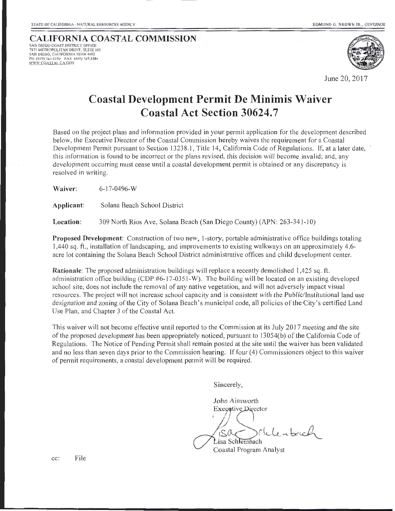#### **CALIFORNIA COASTAL COMMISSION** SAN DIEGO COAST DISTRICT OFFICE 7575 METROPOLITAN DRIVE, SUITE 103

SAN DIEGO, CALIFORNIA 92108-4402 PH (619) 767-2370 FAX (619) 767-2384 WWW.COASTAL.CA.GOV



June 20, 2017

# **Coastal Development Permit De Minimis Waiver Coastal Act Section 30624.7**

Based on the project plans and information provided in your permit application for the development described below, the Executive Director of the Coastal Commission hereby waives the requirement for a Coastal Development Permit pursuant to Section 13238.1, Title 14, California Code of Regulations. If, at a later date, this information is found to be incorrect or the plans revised, this decision will become invalid; and, any development occurring must cease until a coastal development permit is obtained or any discrepancy is resolved in writing.

**Waiver:** 6-17-0496-W

**Applicant:** Solana Beach School District

**Location:** 309 North Rios Ave, Solana Beach (San Diego County) (APN: 263-341-10)

**Proposed Development:** Construction of two new, 1-story, portable administrative office buildings totaling 1,440 sq. ft., installation of landscaping, and improvements to existing walkways on an approximately 4.6 acre lot containing the Solana Beach School District administrative offices and child development center.

**Rationale:** The proposed administration buildings will replace a recently demolished 1,425 sq. ft. administration office building (CDP #6-17-0351-W). The building will be located on an existing developed school site, does not include the removal of any native vegetation, and will not adversely impact visual resources. The project will not increase school capacity and is consistent with the Public/Institutional land use designation and zoning of the City of Solana Beach's municipal code, all policies of the City's certified Land Use Plan, and Chapter 3 of the Coastal Act.

This waiver will not become effective until reported to the Commission at its July 2017 meeting and the site of the proposed development has been appropriately noticed, pursuant to 13054(b) of the California Code of Regulations. The Notice of Pending Permit shall remain posted at the site until the waiver has been validated and no less than seven days prior to the Commission hearing. If four (4) Commissioners object to this waiver of permit requirements, a coastal development permit will be required.

Sincerely,

John Ainsworth Executive Director Lisa Schlembach  $\mu$  which

Coastal Program Analyst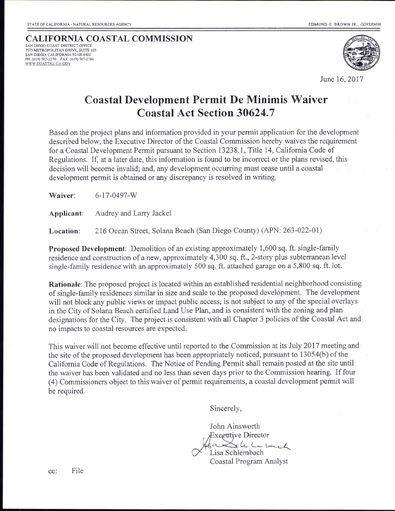#### **CALIFORNIA COASTAL COMMISSION** SAN DIEGO COAST DISTRICT OFFICE 7575 METROPOLITAN DRIVE, SUITE 103

SAN DIEGO, CALIFORNIA 92 108-4402 PH (619) 767-2370 FAX (619) 767-2384<br><u>WWW.COASTAL.CA.GOV</u>



June 16, 2017

# **Coastal Development Permit De Minimis Waiver Coastal Act Section 30624.7**

Based on the project plans and information provided in your permit application for the development described below, the Executive Director of the Coastal Commission hereby waives the requirement for a Coastal Development Permit pursuant to Section 13238.1, Title 14, California Code of Regulations. If, at a later date, this information is found to be incorrect or the plans revised, this decision will become invalid; and, any development occurring must cease until a coastal development permit is obtained or any discrepancy is resolved in writing.

**Waiver:** 6-17-0497-W

**Applicant:** Audrey and Larry Jackel

Location: 216 Ocean Street, Solana Beach (San Diego County) (APN: 263-022-01)

**Proposed Development:** Demolition of an existing approximately 1,600 sq. ft. single-family residence and construction of a new, approximately 4,300 sq. ft., 2-story plus subterranean level single-family residence with an approximately 500 sq. ft. attached garage on a 5,800 sq. ft. lot.

**Rationale:** The proposed project is located within an established residential neighborhood consisting of single-family residences similar in size and scale to the proposed development. The development will not block any public views or impact public access, is not subject to any of the special overlays in the City of Solana Beach certified Land Use Plan, and is consistent with the zoning and plan designations for the City. The project is consistent with all Chapter 3 policies of the Coastal Act and no impacts to coastal resources are expected.

This waiver will not become effective until reported to the Commission at its July 2017 meeting and the site of the proposed development has been appropriately noticed, pursuant to 13054(b) of the California Code of Regulations. The Notice of Pending Permit shall remain posted at the site until the waiver has been validated and no less than seven days prior to the Commission hearing. If four ( 4) Commissioners object to this waiver of permit requirements, a coastal development permit will be required.

Sincerely,

John Ainsworth Exeeutive Director  $x$ le le back Lisa Schlembach Coastal Program Analyst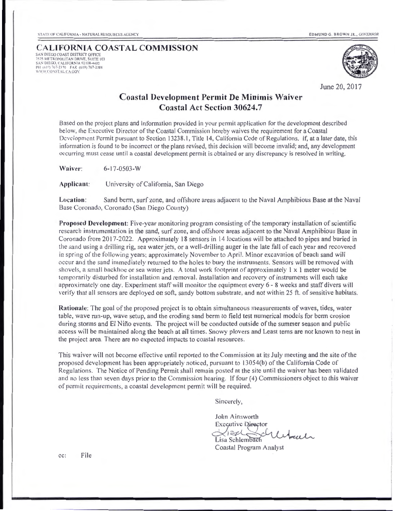SAN DIEGO COAST DISTRICT OFFICE<br>7575 METROPOLITAN DRIVE. SUITE 103 SAN DIEGO, CALIFORNIA 92108-4402<br>PH (619) 767-2370 - FAX (619) 767-2384  $\scriptstyle WWW$  COASTAL CA GOV



June 20, 2017

#### Coastal Development Permit De Minimis Waiver Coastal Act Section 30624.7

Based on the project plans and information provided in your permit application for the development described below, the Executive Director of the Coastal Commission hereby waives the requirement for a Coastal Deve lopment Permit pursuant to Section 13238.1, Title 14, California Code of Regulations. If, at a later date, this information is found to be incorrect or the plans revised, this decision will become invalid; and, any development occurring must cease until a coastal development permit is obtained or any disc repancy is resolved in writing.

Waiver: 6-17-0503-w

Applicant: University of California, San Diego

Location: Sand berm, surf zone, and offshore areas adjacent to the Naval Amphibious Base at the Naval Base Coronado, Coronado (San Diego County)

Proposed Development: Five-year monitoring program consisting of the temporary installation of scientific resea rch instrumentation in the sand, surf zone, and offshore areas adjacent to the Naval Amphibious Base in Coronado from 2017-2022. Approximately 18 sensors in 14 locations will be attached to pipes and buried in the sand using a drilling rig, sea water jets, or a well-drilling auger in the late fall of each year and recovered in spring of the following years; approximately November to April. Minor excavation of beach sand will occur and the sand immediately returned to the holes to bury the instruments. Sensors will be removed with shovels, a small backhoe or sea water jets. A total work footprint of approximately  $1 \times 1$  meter would be temporarily disturbed for installation and removal. Installation and recovery of instruments will each take approximately one day. Experiment staff will monitor the equipment every 6 - 8 weeks and staff divers will verify that all sensors are deployed on soft, sandy bottom substrate, and not within 25 ft. of sensitive habitats.

Rationale: The goal of the proposed project is to obtain simultaneous measurements of waves, tides, water table, wave run-up, wave setup, and the eroding sand berm to field test numerical models for berm erosion during storms and El Niño events. The project will be conducted outside of the summer season and public access will be maintained along the beach at all times. Snowy plovers and Least terns are not known to nest in the project area. There are no expected impacts to coastal resources.

This waiver will not become effective until reported to the Commission at its July meeting and the site of the proposed development has been appropriately noticed, pursuant to 13054(b) of the California Code of Regulations. The Notice of Pending Permit shall remain posted at the site until the waiver has been va lidated and no less than seven days prior to the Commission hearing. If four (4) Commissioners object to this waiver of permit requirements, a coastal development permit will be required.

Sincerely,

John Ainsworth Executive Director<br>Xise( Schlechaul Executive Director<br>Lisa Schlembach<br>Coastal Program Analyst

Lisa Sch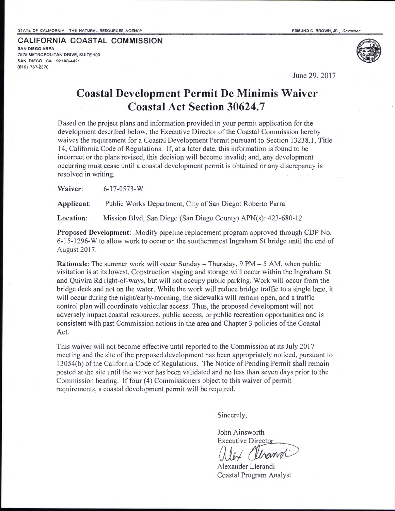**CALI FORN IA COASTAL COMMISSION** 

SAN DIEGO AREA 7575 METROPOLITAN DRIVE, SUITE 103 SAN DIEGO, CA 92108-4421 (619) 767-2370

June 29, 2017

# **Coastal Development Permit De Minimis Waiver Coastal Act Section 30624.7**

Based on the project plans and information provided in your permit application for the development described below, the Executive Director of the Coastal Commission hereby waives the requirement for a Coastal Development Permit pursuant to Section 13238.1, Title 14, California Code of Regulations. If, at a later date, this information is found to be incorrect or the plans revised, this decision will become invalid; and, any development occurring must cease until a coastal development permit is obtained or any discrepancy is resolved in writing.

**Waiver:** 6-17-0573-W

**Applicant:** Public Works Department, City of San Diego: Roberto Parra

**Location:** Mission Blvd, San Diego (San Diego County) APN(s): 423-680-12

**Proposed Development:** Modify pipeline replacement program approved through CDP No. 6-15-1296-W to allow work to occur on the southernmost Ingraham St bridge until the end of August 2017.

**Rationale:** The summer work will occur Sunday- Thursday, 9 PM- 5 AM, when public visitation is at its lowest. Construction staging and storage will occur within the Ingraham St and Quivira Rd right-of-ways, but will not occupy public parking. Work will occur from the bridge deck and not on the water. While the work will reduce bridge traffic to a single Jane, it will occur during the night/early-morning, the sidewalks will remain open, and a traffic control plan will coordinate vehicular access. Thus, the proposed development will not adversely impact coastal resources, public access, or public recreation opportunities and is consistent with past Commission actions in the area and Chapter 3 policies of the Coastal Act.

This waiver will not become effective until reported to the Commission at its July 2017 meeting and the site of the proposed development has been appropriately noticed, pursuant to 13054(b) of the California Code of Regulations. The Notice of Pending Permit shall remain posted at the site until the waiver has been validated and no less than seven days prior to the Commission hearing. If four (4) Commissioners object to this waiver of permit requirements, a coastal development permit will be required.

Sincerely,

John Ainsworth

Executive Director<br>(1) LA (MARANTAL)

Alexander Llerandi Coastal Program Analyst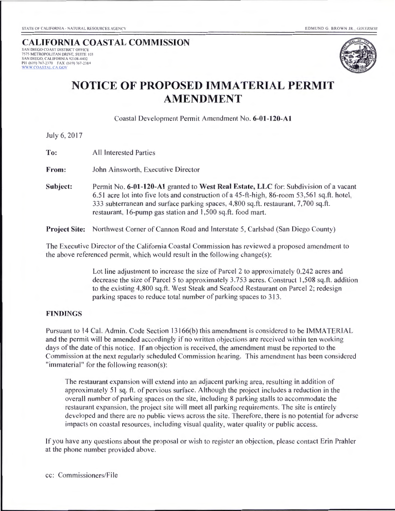### **CALIFORNIA COASTAL COMMISSION**

SAN DIEGO COAST DISTRICT OFFICE 7575 METROPOLITAN DRIVE, SUITE 103 SAN DIEGO, CALIFORNIA 92108-4402 PH (6 19) 767-2370 FAX (6 19) 767-2384 W" W COASTAL \A GO\'



# **NOTICE OF PROPOSED IMMATERIAL PERMIT AMENDMENT**

Coastal Deve lopment Permit Amendment No. **6-01-120-A1** 

July 6, 2017

**To: All Interested Parties** 

**From:** John Ainsworth, Executive Director

**Subject:** Permit No. 6-01-120-A1 granted to West Real Estate, LLC for: Subdivision of a vacant 6.51 acre lot into five lots and construction of a 45-ft-high, 86-room 53,561 sq.ft. hotel, 333 subterranean and surface parking spaces, 4,800 sq.ft. restaurant, 7,700 sq.ft. restaurant, 16-pump gas station and I ,500 sq.ft. food mart.

**Project Site:** Northwest Corner of Cannon Road and Interstate 5, Carlsbad (San Diego County)

The Executive Director of the California Coastal Commission has reviewed a proposed amendment to the above referenced permit, which would result in the following change $(s)$ :

> Lot line adjustment to increase the size of Parcel 2 to approximately 0.242 acres and decrease the size of Parcel 5 to approximately 3.753 acres. Construct 1,508 sq.ft. addition to the existing 4,800 sq.ft. West Steak and Seafood Restaurant on Parcel 2; redesign parking spaces to reduce total number of parking spaces to 313.

#### **FINDINGS**

Pursuant to 14 Cal. Admin. Code Section 13166(b) this amendment is considered to be IMMATERIAL and the permit will be amended accordingly if no written objections are received within ten working days of the date of this notice. If an objection is received, the amendment must be reported to the Commission at the next regularly scheduled Commission hearing. This amendment has been considered "immaterial" for the following reason(s):

The restaurant expansion will extend into an adjacent parking area, resulting in addition of approximately 51 sq. ft. of pervious surface. Although the project includes a reduction in the overall number of parking spaces on the site, including 8 parking stalls to accommodate the restaurant expansion, the project site will meet all parking requirements. The site is entirely developed and there are no public views across the site. Therefore, there is no potential for adverse impacts on coastal resources, including visual quality, water quality or public access.

If you have any questions about the proposal or wish to register an objection, please contact Erin Prahler at the phone number provided above.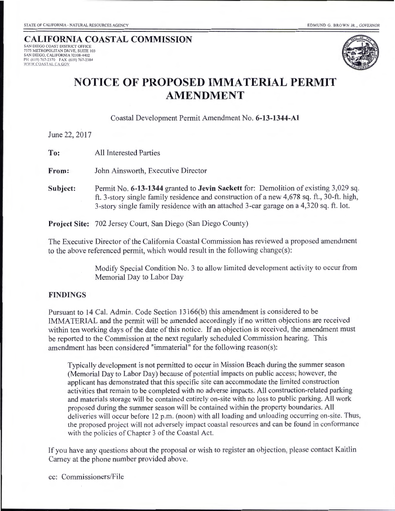# **CALIFORNIA COASTAL COMMISSION**

SAN DIEGO COAST DISTRJCT OFFICE 7575 METROPOLITAN DRI VE, SUITE 103 SAN DIEGO, CALIFORNIA 92108-4402 PH (619) 767-2370 FAX (619) 767-2384<br><u>WWW.COASTAL.CA.GOV</u>



# **NOTICE OF PROPOSED IMMATERIAL PERMIT AMENDMENT**

Coastal Development Permit Amendment No. **6-13-1344-Al** 

June 22, 2017

**To:** All Interested Parties

**From:** John Ainsworth, Executive Director

**Subject:** Permit No. **6-13-1344** granted to **Jevin Sackett** for: Demolition of existing 3,029 sq. ft. 3-story single family residence and construction of a new 4,678 sq. ft., 30-ft. high, 3-story single family residence with an attached 3-car garage on a 4,320 sq. ft. lot.

**Project Site:** 702 Jersey Court, San Diego (San Diego County)

The Executive Director of the California Coastal Commission has reviewed a proposed amendment to the above referenced permit, which would result in the following change(s):

> Modify Special Condition No. 3 to allow limited development activity to occur from Memorial Day to Labor Day

#### **FINDINGS**

Pursuant to 14 Cal. Admin. Code Section 13166(b) this amendment is considered to be IMMATERIAL and the permit will be amended accordingly if no written objections are received within ten working days of the date of this notice. If an objection is received, the amendment must be reported to the Commission at the next regularly scheduled Commission hearing. This amendment has been considered "immaterial" for the following reason(s):

Typically development is not permitted to occur in Mission Beach during the summer season (Memorial Day to Labor Day) because of potential impacts on public access; however, the applicant has demonstrated that this specific site can accommodate the limited construction activities that remain to be completed with no adverse impacts. All construction-related parking and materials storage will be contained entirely on-site with no loss to public parking. All work proposed during the summer season will be contained within the property boundaries. All deliveries will occur before 12 p.m. (noon) with all loading and unloading occurring on-site. Thus, the proposed project will not adversely impact coastal resources and can be found in conformance with the policies of Chapter 3 of the Coastal Act.

If you have any questions about the proposal or wish to register an objection, please contact Kaitlin Carney at the phone number provided above.

cc: Commissioners/File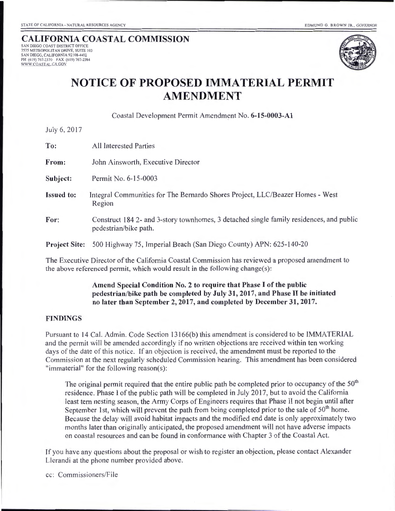#### CALIFORNIA COASTAL COMMISSION **7575 METROPOLITAN DRIVE, SUITE 103** SAN DIEGO, CALIFORNIA 92108-4402 PH (619) 767-2370 FAX (619) 767-2384<br><u>WWW.COASTAL.CA.GOV</u>



# **NOTICE OF PROPOSED IMMATERIAL PERMIT AMENDMENT**

Coastal Development Permit Amendment No. 6-15-0003-A1

July 6, 2017

| To:                                                                                                                                                                             | <b>All Interested Parties</b>                                                                                   |
|---------------------------------------------------------------------------------------------------------------------------------------------------------------------------------|-----------------------------------------------------------------------------------------------------------------|
| From:                                                                                                                                                                           | John Ainsworth, Executive Director                                                                              |
| Subject:                                                                                                                                                                        | Permit No. 6-15-0003                                                                                            |
| <b>Issued to:</b>                                                                                                                                                               | Integral Communities for The Bernardo Shores Project, LLC/Beazer Homes - West<br>Region                         |
| For:                                                                                                                                                                            | Construct 1842- and 3-story townhomes, 3 detached single family residences, and public<br>pedestrian/bike path. |
| <b>Project Site:</b>                                                                                                                                                            | 500 Highway 75, Imperial Beach (San Diego County) APN: 625-140-20                                               |
| The Executive Director of the California Coastal Commission has reviewed a proposed amendment to<br>the above referenced permit, which would result in the following change(s): |                                                                                                                 |

#### Amend Special Condition No. 2 to require that Phase I of the public pedestrian/bike path be completed by July 31, 2017, and Phase II be initiated no later than September 2, 2017, and completed by December 31, 2017.

#### FINDINGS

Pursuant to 14 Cal. Admin. Code Section 13166(b) this amendment is considered to be IMMATERIAL and the permit will be amended accordingly if no written objections are received within ten working days of the date of this notice. If an objection is received, the amendment must be reported to the Commission at the next regularly scheduled Commission hearing. This amendment has been considered "immaterial" for the following reason(s):

The original permit required that the entire public path be completed prior to occupancy of the 50<sup>th</sup> residence. Phase I of the public path will be completed in July 2017, but to avoid the California least tern nesting season, the Army Corps of Engineers requires that Phase II not begin until after September 1st, which will prevent the path from being completed prior to the sale of  $50<sup>th</sup>$  home. Because the delay will avoid habitat impacts and the modified end date is only approximately two months later than originally anticipated, the proposed amendment will not have adverse impacts on coastal resources and can be found in conformance with Chapter 3 of the Coastal Act.

ff you have any questions about the proposal or wish to register an objection, please contact Alexander Llerandi at the phone number provided above.

cc: Commissioners/File